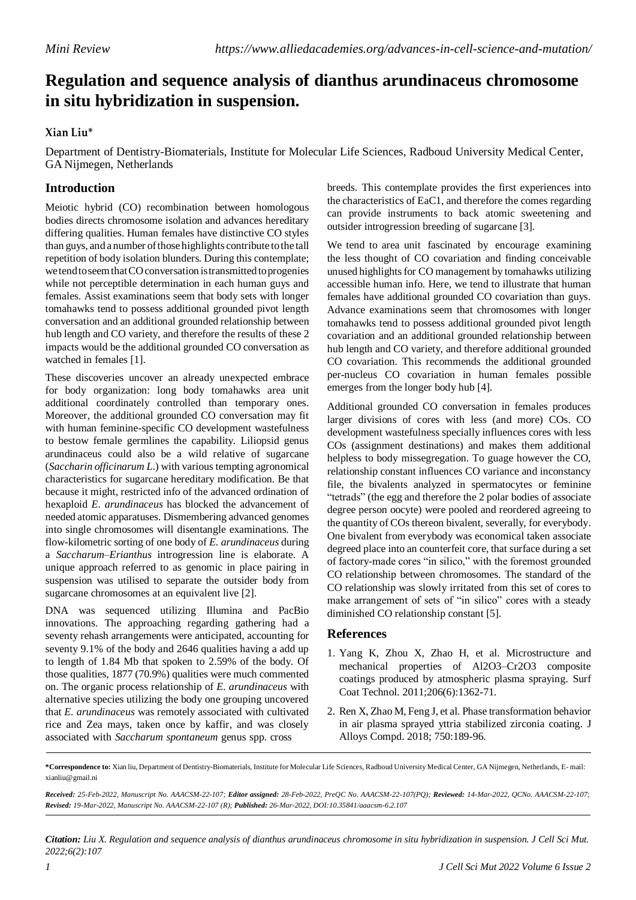## **Regulation and sequence analysis of dianthus arundinaceus chromosome in situ hybridization in suspension.**

## **Xian Liu\***

Department of Dentistry-Biomaterials, Institute for Molecular Life Sciences, Radboud University Medical Center, GA Nijmegen, Netherlands

## **Introduction**

Meiotic hybrid (CO) recombination between homologous bodies directs chromosome isolation and advances hereditary differing qualities. Human females have distinctive CO styles than guys, and a number of those highlights contribute to the tall repetition of body isolation blunders. During this contemplate; wetendtoseemthatCOconversation istransmitted toprogenies while not perceptible determination in each human guys and females. Assist examinations seem that body sets with longer tomahawks tend to possess additional grounded pivot length conversation and an additional grounded relationship between hub length and CO variety, and therefore the results of these 2 impacts would be the additional grounded CO conversation as watched in females [1].

These discoveries uncover an already unexpected embrace for body organization: long body tomahawks area unit additional coordinately controlled than temporary ones. Moreover, the additional grounded CO conversation may fit with human feminine-specific CO development wastefulness to bestow female germlines the capability. Liliopsid genus arundinaceus could also be a wild relative of sugarcane (*Saccharin officinarum L*.) with various tempting agronomical characteristics for sugarcane hereditary modification. Be that because it might, restricted info of the advanced ordination of hexaploid *E. arundinaceus* has blocked the advancement of needed atomic apparatuses. Dismembering advanced genomes into single chromosomes will disentangle examinations. The flow-kilometric sorting of one body of *E. arundinaceus* during a *Saccharum–Erianthus* introgression line is elaborate. A unique approach referred to as genomic in place pairing in suspension was utilised to separate the outsider body from sugarcane chromosomes at an equivalent live [2].

DNA was sequenced utilizing Illumina and PacBio innovations. The approaching regarding gathering had a seventy rehash arrangements were anticipated, accounting for seventy 9.1% of the body and 2646 qualities having a add up to length of 1.84 Mb that spoken to 2.59% of the body. Of those qualities, 1877 (70.9%) qualities were much commented on. The organic process relationship of *E. arundinaceus* with alternative species utilizing the body one grouping uncovered that *E. arundinaceus* was remotely associated with cultivated rice and Zea mays, taken once by kaffir, and was closely associated with *Saccharum spontaneum* genus spp. cross

breeds. This contemplate provides the first experiences into the characteristics of EaC1, and therefore the comes regarding can provide instruments to back atomic sweetening and outsider introgression breeding of sugarcane [3].

We tend to area unit fascinated by encourage examining the less thought of CO covariation and finding conceivable unused highlights for CO management by tomahawks utilizing accessible human info. Here, we tend to illustrate that human females have additional grounded CO covariation than guys. Advance examinations seem that chromosomes with longer tomahawks tend to possess additional grounded pivot length covariation and an additional grounded relationship between hub length and CO variety, and therefore additional grounded CO covariation. This recommends the additional grounded per-nucleus CO covariation in human females possible emerges from the longer body hub [4].

Additional grounded CO conversation in females produces larger divisions of cores with less (and more) COs. CO development wastefulness specially influences cores with less COs (assignment destinations) and makes them additional helpless to body missegregation. To guage however the CO, relationship constant influences CO variance and inconstancy file, the bivalents analyzed in spermatocytes or feminine "tetrads" (the egg and therefore the 2 polar bodies of associate degree person oocyte) were pooled and reordered agreeing to the quantity of COs thereon bivalent, severally, for everybody. One bivalent from everybody was economical taken associate degreed place into an counterfeit core, that surface during a set of factory-made cores "in silico," with the foremost grounded CO relationship between chromosomes. The standard of the CO relationship was slowly irritated from this set of cores to make arrangement of sets of "in silico" cores with a steady diminished CO relationship constant [5].

## **References**

- 1. Yang K, Zhou X, Zhao H, et al. [Microstructure](https://www.sciencedirect.com/science/article/abs/pii/S0257897211008711) and mechanical properties of [Al2O3–Cr2O3](https://www.sciencedirect.com/science/article/abs/pii/S0257897211008711) composite [coatings produced by atmospheric plasma spraying.](https://www.sciencedirect.com/science/article/abs/pii/S0257897211008711) Surf Coat Technol*.* 2011;206(6):1362-71.
- 2. Ren X, Zhao M, Feng J, et al. Phase [transformation](https://www.sciencedirect.com/science/article/abs/pii/S0925838818308624) behavior [in air plasma sprayed yttria](https://www.sciencedirect.com/science/article/abs/pii/S0925838818308624) stabilized zirconia coating. J Alloys Compd. 2018; 750:189-96.

Received: 25-Feb-2022, Manuscript No. AAACSM-22-107; Editor assigned: 28-Feb-2022, PreQC No. AAACSM-22-107(PQ); Reviewed: 14-Mar-2022, QCNo. AAACSM-22-107; *Revised: 19-Mar-2022, Manuscript No. AAACSM-22-107 (R); Published: 26-Mar-2022, DOI:10.35841/aaacsm-6.2.107*

Citation: Liu X. Regulation and sequence analysis of dianthus arundinaceus chromosome in situ hybridization in suspension. J Cell Sci Mut. *2022;6(2):107*

**<sup>\*</sup>Correspondence to:** Xian liu, Department of Dentistry-Biomaterials, Institute for Molecular Life Sciences, Radboud University Medical Center, GA Nijmegen, Netherlands, E- mail: [xianliu@gmail.ni](mailto:xianliu@gmail.ni)